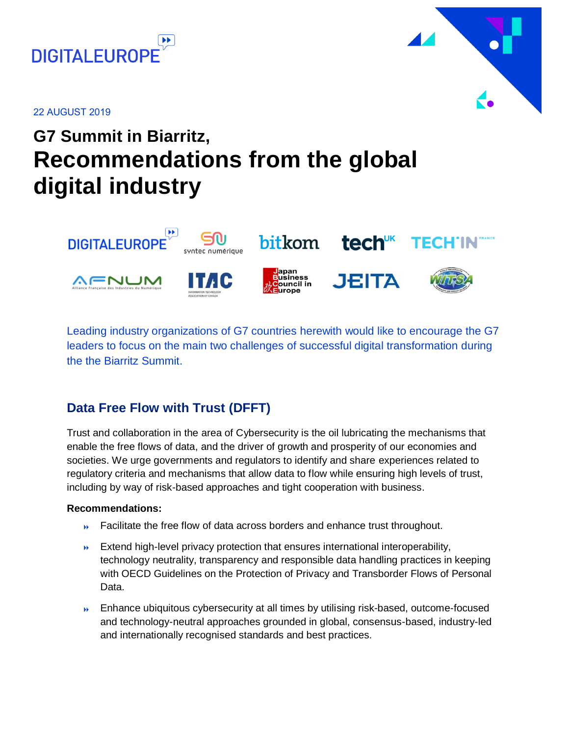

22 AUGUST 2019

# **G7 Summit in Biarritz, Recommendations from the global digital industry**



Leading industry organizations of G7 countries herewith would like to encourage the G7 leaders to focus on the main two challenges of successful digital transformation during the the Biarritz Summit.

### **Data Free Flow with Trust (DFFT)**

Trust and collaboration in the area of Cybersecurity is the oil lubricating the mechanisms that enable the free flows of data, and the driver of growth and prosperity of our economies and societies. We urge governments and regulators to identify and share experiences related to regulatory criteria and mechanisms that allow data to flow while ensuring high levels of trust, including by way of risk-based approaches and tight cooperation with business.

#### **Recommendations:**

- **EXEC** Facilitate the free flow of data across borders and enhance trust throughout.
- $\rightarrow$  Extend high-level privacy protection that ensures international interoperability, technology neutrality, transparency and responsible data handling practices in keeping with OECD Guidelines on the Protection of Privacy and Transborder Flows of Personal Data.
- **Enhance ubiquitous cybersecurity at all times by utilising risk-based, outcome-focused** and technology-neutral approaches grounded in global, consensus-based, industry-led and internationally recognised standards and best practices.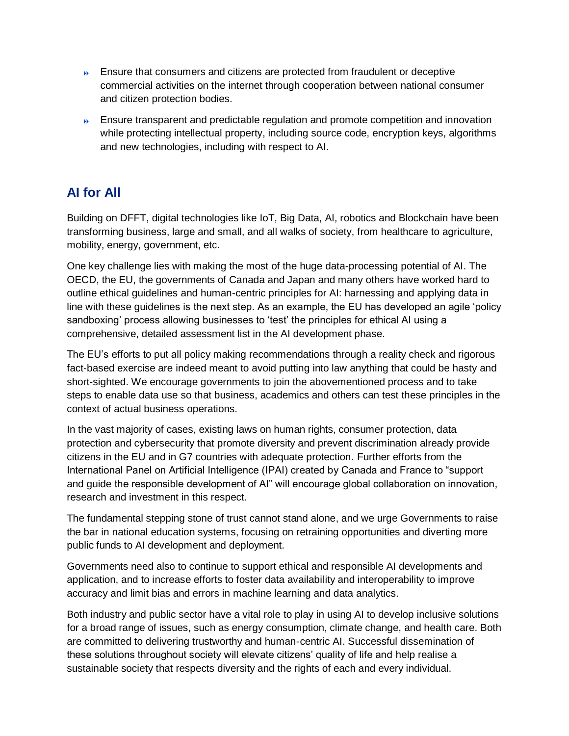- **Ensure that consumers and citizens are protected from fraudulent or deceptive** commercial activities on the internet through cooperation between national consumer and citizen protection bodies.
- **Ensure transparent and predictable regulation and promote competition and innovation** while protecting intellectual property, including source code, encryption keys, algorithms and new technologies, including with respect to AI.

## **AI for All**

Building on DFFT, digital technologies like IoT, Big Data, AI, robotics and Blockchain have been transforming business, large and small, and all walks of society, from healthcare to agriculture, mobility, energy, government, etc.

One key challenge lies with making the most of the huge data-processing potential of AI. The OECD, the EU, the governments of Canada and Japan and many others have worked hard to outline ethical guidelines and human-centric principles for AI: harnessing and applying data in line with these guidelines is the next step. As an example, the EU has developed an agile 'policy sandboxing' process allowing businesses to 'test' the principles for ethical AI using a comprehensive, detailed assessment list in the AI development phase.

The EU's efforts to put all policy making recommendations through a reality check and rigorous fact-based exercise are indeed meant to avoid putting into law anything that could be hasty and short-sighted. We encourage governments to join the abovementioned process and to take steps to enable data use so that business, academics and others can test these principles in the context of actual business operations.

In the vast majority of cases, existing laws on human rights, consumer protection, data protection and cybersecurity that promote diversity and prevent discrimination already provide citizens in the EU and in G7 countries with adequate protection. Further efforts from the International Panel on Artificial Intelligence (IPAI) created by Canada and France to "support and guide the responsible development of AI" will encourage global collaboration on innovation, research and investment in this respect.

The fundamental stepping stone of trust cannot stand alone, and we urge Governments to raise the bar in national education systems, focusing on retraining opportunities and diverting more public funds to AI development and deployment.

Governments need also to continue to support ethical and responsible AI developments and application, and to increase efforts to foster data availability and interoperability to improve accuracy and limit bias and errors in machine learning and data analytics.

Both industry and public sector have a vital role to play in using AI to develop inclusive solutions for a broad range of issues, such as energy consumption, climate change, and health care. Both are committed to delivering trustworthy and human-centric AI. Successful dissemination of these solutions throughout society will elevate citizens' quality of life and help realise a sustainable society that respects diversity and the rights of each and every individual.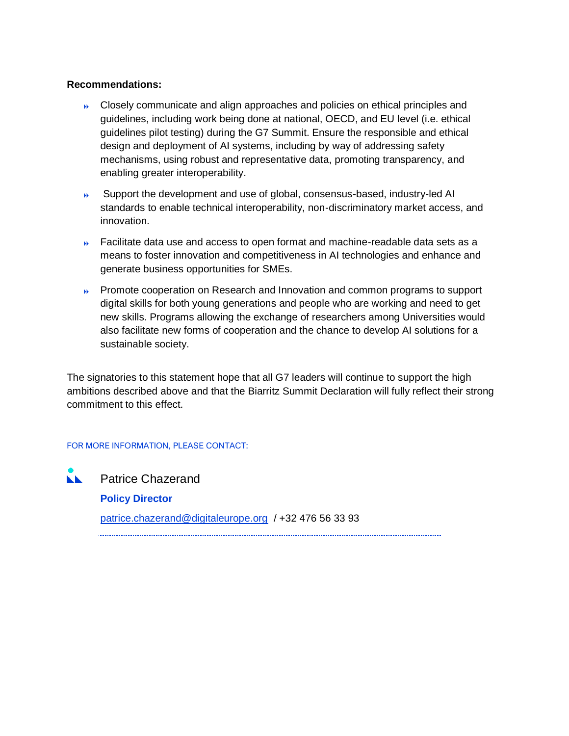#### **Recommendations:**

- Closely communicate and align approaches and policies on ethical principles and guidelines, including work being done at national, OECD, and EU level (i.e. ethical guidelines pilot testing) during the G7 Summit. Ensure the responsible and ethical design and deployment of AI systems, including by way of addressing safety mechanisms, using robust and representative data, promoting transparency, and enabling greater interoperability.
- Support the development and use of global, consensus-based, industry-led AI standards to enable technical interoperability, non-discriminatory market access, and innovation.
- Facilitate data use and access to open format and machine-readable data sets as a means to foster innovation and competitiveness in AI technologies and enhance and generate business opportunities for SMEs.
- **Promote cooperation on Research and Innovation and common programs to support** digital skills for both young generations and people who are working and need to get new skills. Programs allowing the exchange of researchers among Universities would also facilitate new forms of cooperation and the chance to develop AI solutions for a sustainable society.

The signatories to this statement hope that all G7 leaders will continue to support the high ambitions described above and that the Biarritz Summit Declaration will fully reflect their strong commitment to this effect.

#### FOR MORE INFORMATION, PLEASE CONTACT:

**NEW** Patrice Chazerand **Policy Director** [patrice.chazerand@digitaleurope.org](mailto:patrice.chazerand@digitaleurope.org) / +32 476 56 33 93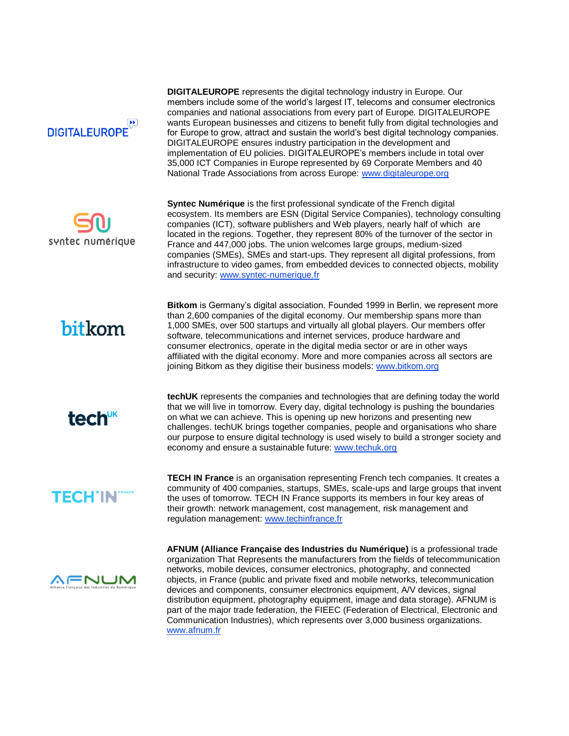



**DIGITALEUROPE** represents the digital technology industry in Europe. Our members include some of the world's largest IT, telecoms and consumer electronics companies and national associations from every part of Europe. DIGITALEUROPE wants European businesses and citizens to benefit fully from digital technologies and for Europe to grow, attract and sustain the world's best digital technology companies. DIGITALEUROPE ensures industry participation in the development and implementation of EU policies. DIGITALEUROPE's members include in total over 35,000 ICT Companies in Europe represented by 69 Corporate Members and 40 National Trade Associations from across Europe: [www.digitaleurope.org](http://www.digitaleurope.org/) 

**Syntec Numérique** is the first professional syndicate of the French digital ecosystem. Its members are [ESN](https://syntec-numerique.fr/ssii-esn) (Digital Service Companies), technology consulting companies (ICT), [software publishers](https://syntec-numerique.fr/editeurs-logiciels) and Web players, nearly half of which are located in the regions. Together, they represent 80% of the turnover of the sector in France and 447,000 jobs. The union welcomes large groups, medium-sized companies (SMEs), [SMEs](https://syntec-numerique.fr/pme-numerique) and [start-ups.](https://syntec-numerique.fr/start-up) They represent all digital professions, from infrastructure to video games, from embedded devices to connected objects, mobility and security: [www.syntec-numerique.fr](http://www.syntec-numerique.fr/)

## bitkom

**Bitkom** is Germany's digital association. Founded 1999 in Berlin, we represent more than 2,600 companies of the digital economy. Our membership spans more than 1,000 SMEs, over 500 startups and virtually all global players. Our members offer software, telecommunications and internet services, produce hardware and consumer electronics, operate in the digital media sector or are in other ways affiliated with the digital economy. More and more companies across all sectors are joining Bitkom as they digitise their business models[: www.bitkom.org](http://www.bitkom.org/)



**techUK** represents the companies and technologies that are defining today the world that we will live in tomorrow. Every day, digital technology is pushing the boundaries on what we can achieve. This is opening up new horizons and presenting new challenges. techUK brings together companies, people and organisations who share our purpose to ensure digital technology is used wisely to build a stronger society and economy and ensure a sustainable future: [www.techuk.org](http://www.techuk.org/)

## **TECH'IN"**

**TECH IN France** is an organisation representing French tech companies. It creates a community of 400 companies, startups, SMEs, scale-ups and large groups that invent the uses of tomorrow. TECH IN France supports its members in four key areas of their growth: network management, cost management, risk management and regulation management: [www.techinfrance.fr](http://www.techinfrance.fr/)



**AFNUM (Alliance Française des Industries du Numérique)** is a professional trade organization That Represents the manufacturers from the fields of telecommunication networks, mobile devices, consumer electronics, photography, and connected objects, in France (public and private fixed and mobile networks, telecommunication devices and components, consumer electronics equipment, A/V devices, signal distribution equipment, photography equipment, image and data storage). AFNUM is part of the major trade federation, the FIEEC (Federation of Electrical, Electronic and Communication Industries), which represents over 3,000 business organizations. [www.afnum.fr](http://www.afnum.fr/)